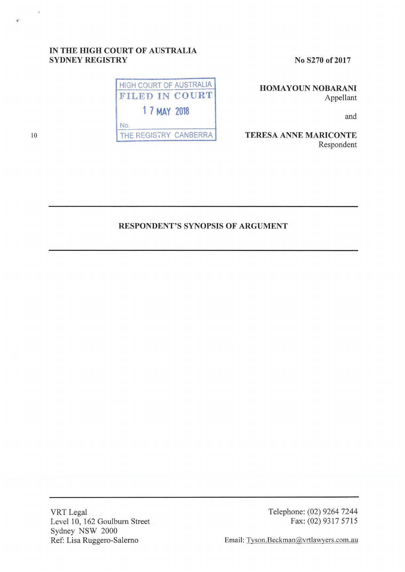## IN THE HIGH COURT OF AUSTRALIA SYDNEY REGISTRY



No S270 of 2017

HOMA YOUN NOBARANI Appellant

and

TERESA ANNE MARICONTE Respondent

## RESPONDENT'S SYNOPSIS OF ARGUMENT

VRT Legal Level 10, 162 Goulburn Street Sydney NSW 2000 Ref: Lisa Ruggero-Salerno

Telephone: (02) 9264 7244 Fax: (02) 9317 5715

Email: Tyson.Beckman@vrtlawyers.com.au

 $\bar{r}$ 

نی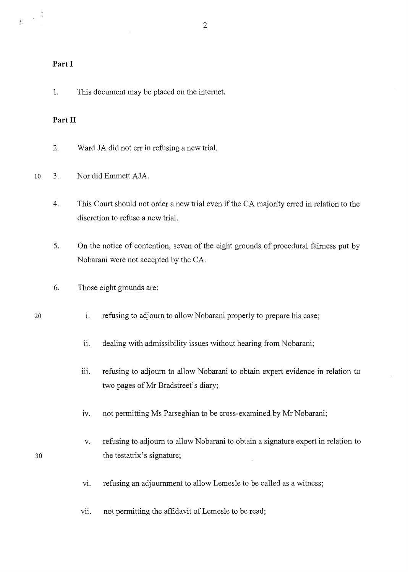## **Part I**

## **Part II**

- 2. Ward JA did not err in refusing a new trial.
- 10 3. Nor did Emmett AJA.
	- 4. This Court should not order a new trial even if the CA majority erred in relation to the discretion to refuse a new trial.

2

- 5. On the notice of contention, seven of the eight grounds of procedural fairness put by Nobarani were not accepted by the CA.
- 6. Those eight grounds are:
- i. refusing to adjourn to allow Nobarani properly to prepare his case;
	- ii. dealing with admissibility issues without hearing from Nobarani;
	- iii. refusing to adjourn to allow Nobarani to obtain expert evidence in relation to two pages of Mr Bradstreet's diary;
	- iv. not permitting Ms Parseghian to be cross-examined by Mr Nobarani;
- v. refusing to adjourn to allow Nobarani to obtain a signature expert in relation to 30 the testatrix's signature;
	- vi. refusing an adjournment to allow Lemesle to be called as a witness;
	- vii. not permitting the affidavit of Lemesle to be read;

20